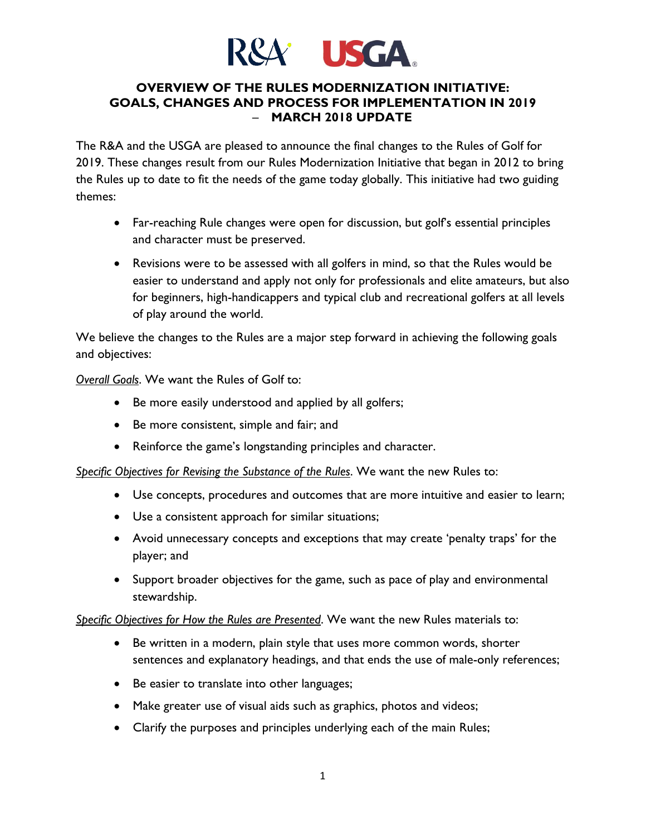

#### **OVERVIEW OF THE RULES MODERNIZATION INITIATIVE: GOALS, CHANGES AND PROCESS FOR IMPLEMENTATION IN 2019** – **MARCH 2018 UPDATE**

The R&A and the USGA are pleased to announce the final changes to the Rules of Golf for 2019. These changes result from our Rules Modernization Initiative that began in 2012 to bring the Rules up to date to fit the needs of the game today globally. This initiative had two guiding themes:

- Far-reaching Rule changes were open for discussion, but golf's essential principles and character must be preserved.
- Revisions were to be assessed with all golfers in mind, so that the Rules would be easier to understand and apply not only for professionals and elite amateurs, but also for beginners, high-handicappers and typical club and recreational golfers at all levels of play around the world.

We believe the changes to the Rules are a major step forward in achieving the following goals and objectives:

*Overall Goals*. We want the Rules of Golf to:

- Be more easily understood and applied by all golfers;
- Be more consistent, simple and fair; and
- Reinforce the game's longstanding principles and character.

*Specific Objectives for Revising the Substance of the Rules*. We want the new Rules to:

- Use concepts, procedures and outcomes that are more intuitive and easier to learn;
- Use a consistent approach for similar situations;
- Avoid unnecessary concepts and exceptions that may create 'penalty traps' for the player; and
- Support broader objectives for the game, such as pace of play and environmental stewardship.

*Specific Objectives for How the Rules are Presented*. We want the new Rules materials to:

- Be written in a modern, plain style that uses more common words, shorter sentences and explanatory headings, and that ends the use of male-only references;
- Be easier to translate into other languages;
- Make greater use of visual aids such as graphics, photos and videos;
- Clarify the purposes and principles underlying each of the main Rules;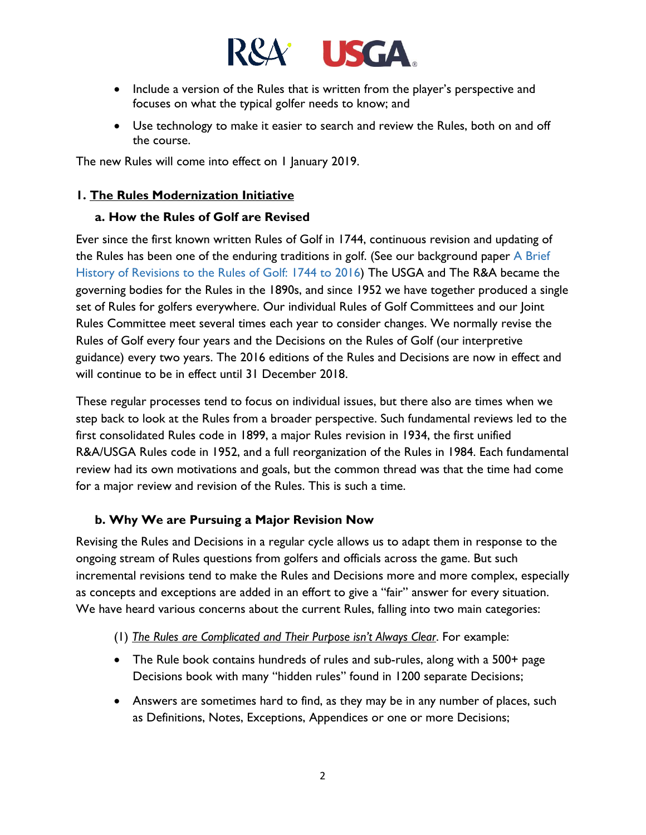

- Include a version of the Rules that is written from the player's perspective and focuses on what the typical golfer needs to know; and
- Use technology to make it easier to search and review the Rules, both on and off the course.

The new Rules will come into effect on 1 January 2019.

#### **1. The Rules Modernization Initiative**

#### **a. How the Rules of Golf are Revised**

Ever since the first known written Rules of Golf in 1744, continuous revision and updating of the Rules has been one of the enduring traditions in golf. (See our background paper A Brief History of Revisions to the Rules of Golf: 1744 to 2016) The USGA and The R&A became the governing bodies for the Rules in the 1890s, and since 1952 we have together produced a single set of Rules for golfers everywhere. Our individual Rules of Golf Committees and our Joint Rules Committee meet several times each year to consider changes. We normally revise the Rules of Golf every four years and the Decisions on the Rules of Golf (our interpretive guidance) every two years. The 2016 editions of the Rules and Decisions are now in effect and will continue to be in effect until 31 December 2018.

These regular processes tend to focus on individual issues, but there also are times when we step back to look at the Rules from a broader perspective. Such fundamental reviews led to the first consolidated Rules code in 1899, a major Rules revision in 1934, the first unified R&A/USGA Rules code in 1952, and a full reorganization of the Rules in 1984. Each fundamental review had its own motivations and goals, but the common thread was that the time had come for a major review and revision of the Rules. This is such a time.

#### **b. Why We are Pursuing a Major Revision Now**

Revising the Rules and Decisions in a regular cycle allows us to adapt them in response to the ongoing stream of Rules questions from golfers and officials across the game. But such incremental revisions tend to make the Rules and Decisions more and more complex, especially as concepts and exceptions are added in an effort to give a "fair" answer for every situation. We have heard various concerns about the current Rules, falling into two main categories:

- (1) *The Rules are Complicated and Their Purpose isn't Always Clear*. For example:
- The Rule book contains hundreds of rules and sub-rules, along with a 500+ page Decisions book with many "hidden rules" found in 1200 separate Decisions;
- Answers are sometimes hard to find, as they may be in any number of places, such as Definitions, Notes, Exceptions, Appendices or one or more Decisions;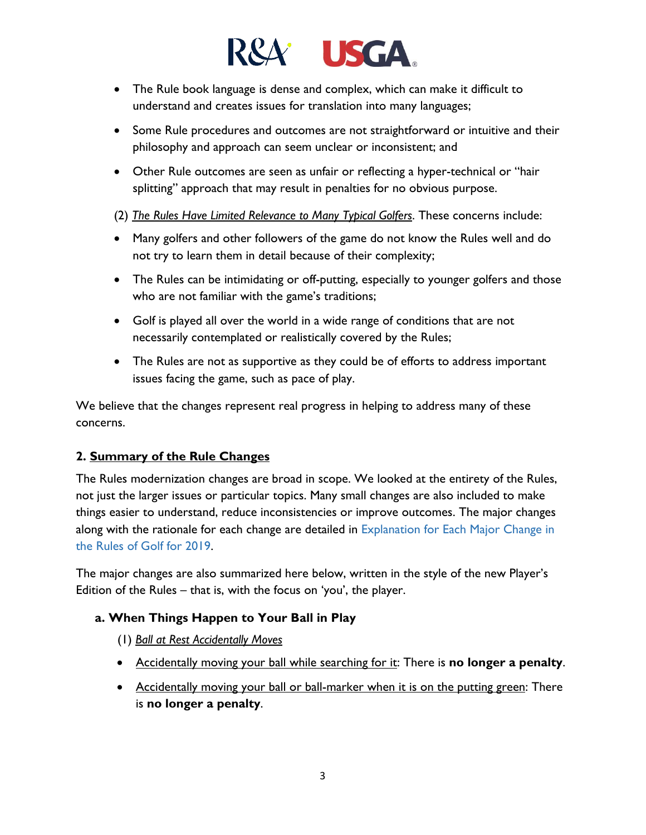

- The Rule book language is dense and complex, which can make it difficult to understand and creates issues for translation into many languages;
- Some Rule procedures and outcomes are not straightforward or intuitive and their philosophy and approach can seem unclear or inconsistent; and
- Other Rule outcomes are seen as unfair or reflecting a hyper-technical or "hair splitting" approach that may result in penalties for no obvious purpose.

(2) *The Rules Have Limited Relevance to Many Typical Golfers*. These concerns include:

- Many golfers and other followers of the game do not know the Rules well and do not try to learn them in detail because of their complexity;
- The Rules can be intimidating or off-putting, especially to younger golfers and those who are not familiar with the game's traditions;
- Golf is played all over the world in a wide range of conditions that are not necessarily contemplated or realistically covered by the Rules;
- The Rules are not as supportive as they could be of efforts to address important issues facing the game, such as pace of play.

We believe that the changes represent real progress in helping to address many of these concerns.

## **2. Summary of the Rule Changes**

The Rules modernization changes are broad in scope. We looked at the entirety of the Rules, not just the larger issues or particular topics. Many small changes are also included to make things easier to understand, reduce inconsistencies or improve outcomes. The major changes along with the rationale for each change are detailed in Explanation for Each Major Change in the Rules of Golf for 2019.

The major changes are also summarized here below, written in the style of the new Player's Edition of the Rules – that is, with the focus on 'you', the player.

## **a. When Things Happen to Your Ball in Play**

- (1) *Ball at Rest Accidentally Moves*
- Accidentally moving your ball while searching for it: There is **no longer a penalty**.
- Accidentally moving your ball or ball-marker when it is on the putting green: There is **no longer a penalty**.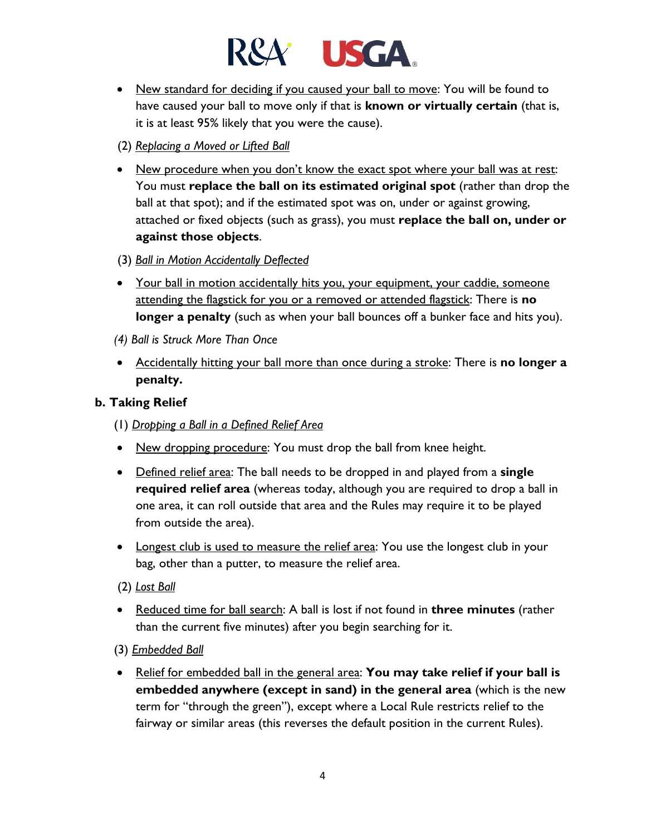

- New standard for deciding if you caused your ball to move: You will be found to have caused your ball to move only if that is **known or virtually certain** (that is, it is at least 95% likely that you were the cause).
- (2) *Replacing a Moved or Lifted Ball*
- New procedure when you don't know the exact spot where your ball was at rest: You must **replace the ball on its estimated original spot** (rather than drop the ball at that spot); and if the estimated spot was on, under or against growing, attached or fixed objects (such as grass), you must **replace the ball on, under or against those objects**.
- (3) *Ball in Motion Accidentally Deflected*
- Your ball in motion accidentally hits you, your equipment, your caddie, someone attending the flagstick for you or a removed or attended flagstick: There is **no longer a penalty** (such as when your ball bounces off a bunker face and hits you).
- *(4) Ball is Struck More Than Once*
- Accidentally hitting your ball more than once during a stroke: There is **no longer a penalty.**

## **b. Taking Relief**

- (1) *Dropping a Ball in a Defined Relief Area*
- New dropping procedure: You must drop the ball from knee height.
- Defined relief area: The ball needs to be dropped in and played from a **single required relief area** (whereas today, although you are required to drop a ball in one area, it can roll outside that area and the Rules may require it to be played from outside the area).
- Longest club is used to measure the relief area: You use the longest club in your bag, other than a putter, to measure the relief area.
- (2) *Lost Ball*
- Reduced time for ball search: A ball is lost if not found in **three minutes** (rather than the current five minutes) after you begin searching for it.
- (3) *Embedded Ball*
- Relief for embedded ball in the general area: **You may take relief if your ball is embedded anywhere (except in sand) in the general area** (which is the new term for "through the green"), except where a Local Rule restricts relief to the fairway or similar areas (this reverses the default position in the current Rules).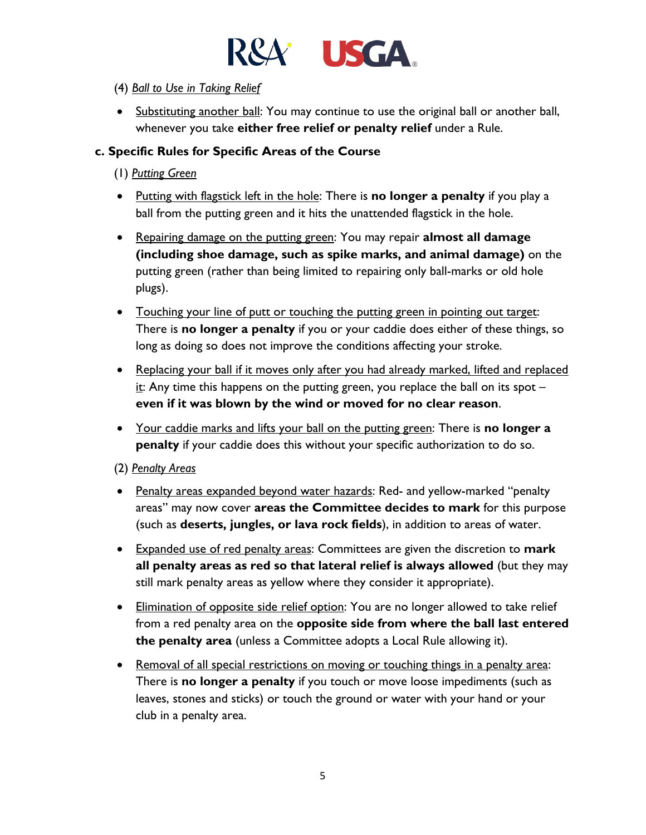

#### (4) *Ball to Use in Taking Relief*

• Substituting another ball: You may continue to use the original ball or another ball, whenever you take **either free relief or penalty relief** under a Rule.

## **c. Specific Rules for Specific Areas of the Course**

- (1) *Putting Green*
- Putting with flagstick left in the hole: There is **no longer a penalty** if you play a ball from the putting green and it hits the unattended flagstick in the hole.
- Repairing damage on the putting green: You may repair **almost all damage (including shoe damage, such as spike marks, and animal damage)** on the putting green (rather than being limited to repairing only ball-marks or old hole plugs).
- Touching your line of putt or touching the putting green in pointing out target: There is **no longer a penalty** if you or your caddie does either of these things, so long as doing so does not improve the conditions affecting your stroke.
- Replacing your ball if it moves only after you had already marked, lifted and replaced it: Any time this happens on the putting green, you replace the ball on its spot  $$ **even if it was blown by the wind or moved for no clear reason**.
- Your caddie marks and lifts your ball on the putting green: There is **no longer a penalty** if your caddie does this without your specific authorization to do so.

#### (2) *Penalty Areas*

- Penalty areas expanded beyond water hazards: Red- and yellow-marked "penalty areas" may now cover **areas the Committee decides to mark** for this purpose (such as **deserts, jungles, or lava rock fields**), in addition to areas of water.
- Expanded use of red penalty areas: Committees are given the discretion to **mark all penalty areas as red so that lateral relief is always allowed** (but they may still mark penalty areas as yellow where they consider it appropriate).
- Elimination of opposite side relief option: You are no longer allowed to take relief from a red penalty area on the **opposite side from where the ball last entered the penalty area** (unless a Committee adopts a Local Rule allowing it).
- Removal of all special restrictions on moving or touching things in a penalty area: There is **no longer a penalty** if you touch or move loose impediments (such as leaves, stones and sticks) or touch the ground or water with your hand or your club in a penalty area.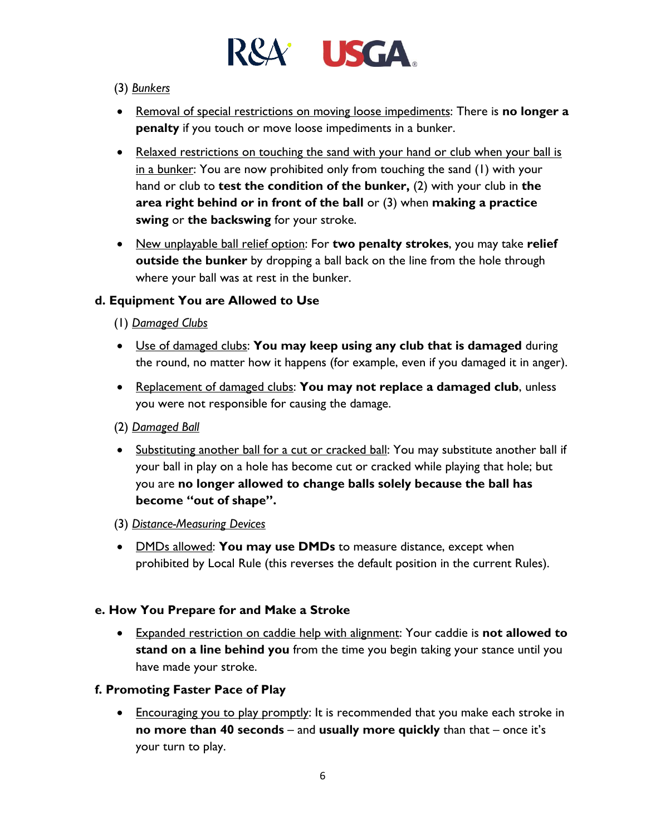

#### (3) *Bunkers*

- Removal of special restrictions on moving loose impediments: There is **no longer a penalty** if you touch or move loose impediments in a bunker.
- Relaxed restrictions on touching the sand with your hand or club when your ball is in a bunker: You are now prohibited only from touching the sand (1) with your hand or club to **test the condition of the bunker,** (2) with your club in **the area right behind or in front of the ball** or (3) when **making a practice swing** or **the backswing** for your stroke.
- New unplayable ball relief option: For **two penalty strokes**, you may take **relief outside the bunker** by dropping a ball back on the line from the hole through where your ball was at rest in the bunker.

## **d. Equipment You are Allowed to Use**

- (1) *Damaged Clubs*
- Use of damaged clubs: **You may keep using any club that is damaged** during the round, no matter how it happens (for example, even if you damaged it in anger).
- Replacement of damaged clubs: **You may not replace a damaged club**, unless you were not responsible for causing the damage.
- (2) *Damaged Ball*
- Substituting another ball for a cut or cracked ball: You may substitute another ball if your ball in play on a hole has become cut or cracked while playing that hole; but you are **no longer allowed to change balls solely because the ball has become "out of shape".**
- (3) *Distance-Measuring Devices*
- DMDs allowed: **You may use DMDs** to measure distance, except when prohibited by Local Rule (this reverses the default position in the current Rules).

#### **e. How You Prepare for and Make a Stroke**

• Expanded restriction on caddie help with alignment: Your caddie is **not allowed to stand on a line behind you** from the time you begin taking your stance until you have made your stroke.

#### **f. Promoting Faster Pace of Play**

• Encouraging you to play promptly: It is recommended that you make each stroke in **no more than 40 seconds** – and **usually more quickly** than that – once it's your turn to play.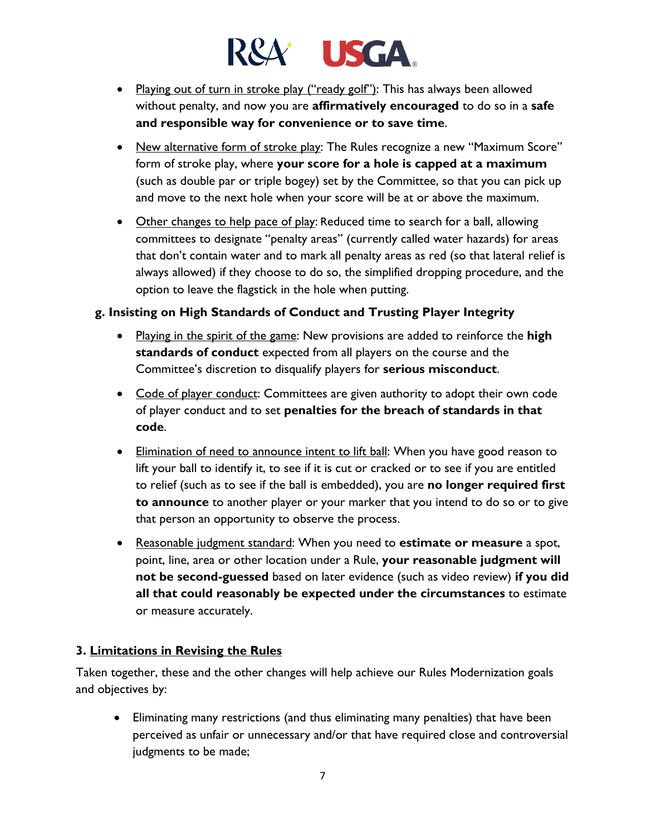# **USGA**

- Playing out of turn in stroke play ("ready golf"): This has always been allowed without penalty, and now you are **affirmatively encouraged** to do so in a **safe and responsible way for convenience or to save time**.
- New alternative form of stroke play: The Rules recognize a new "Maximum Score" form of stroke play, where **your score for a hole is capped at a maximum** (such as double par or triple bogey) set by the Committee, so that you can pick up and move to the next hole when your score will be at or above the maximum.
- Other changes to help pace of play: Reduced time to search for a ball, allowing committees to designate "penalty areas" (currently called water hazards) for areas that don't contain water and to mark all penalty areas as red (so that lateral relief is always allowed) if they choose to do so, the simplified dropping procedure, and the option to leave the flagstick in the hole when putting.

## **g. Insisting on High Standards of Conduct and Trusting Player Integrity**

- Playing in the spirit of the game: New provisions are added to reinforce the **high standards of conduct** expected from all players on the course and the Committee's discretion to disqualify players for **serious misconduct**.
- Code of player conduct: Committees are given authority to adopt their own code of player conduct and to set **penalties for the breach of standards in that code**.
- Elimination of need to announce intent to lift ball: When you have good reason to lift your ball to identify it, to see if it is cut or cracked or to see if you are entitled to relief (such as to see if the ball is embedded), you are **no longer required first to announce** to another player or your marker that you intend to do so or to give that person an opportunity to observe the process.
- Reasonable judgment standard: When you need to **estimate or measure** a spot, point, line, area or other location under a Rule, **your reasonable judgment will not be second-guessed** based on later evidence (such as video review) **if you did all that could reasonably be expected under the circumstances** to estimate or measure accurately.

## **3. Limitations in Revising the Rules**

Taken together, these and the other changes will help achieve our Rules Modernization goals and objectives by:

• Eliminating many restrictions (and thus eliminating many penalties) that have been perceived as unfair or unnecessary and/or that have required close and controversial judgments to be made;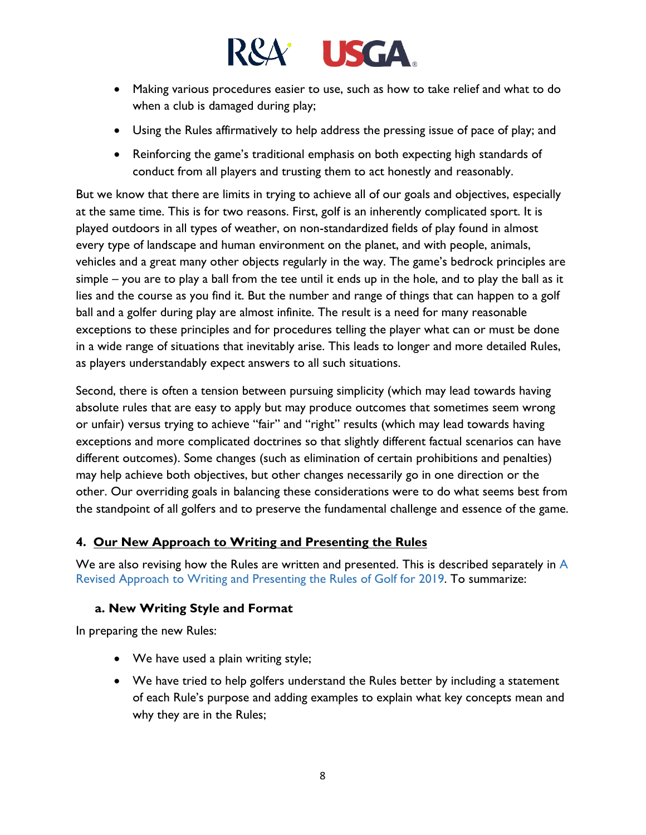

- Making various procedures easier to use, such as how to take relief and what to do when a club is damaged during play;
- Using the Rules affirmatively to help address the pressing issue of pace of play; and
- Reinforcing the game's traditional emphasis on both expecting high standards of conduct from all players and trusting them to act honestly and reasonably.

But we know that there are limits in trying to achieve all of our goals and objectives, especially at the same time. This is for two reasons. First, golf is an inherently complicated sport. It is played outdoors in all types of weather, on non-standardized fields of play found in almost every type of landscape and human environment on the planet, and with people, animals, vehicles and a great many other objects regularly in the way. The game's bedrock principles are simple – you are to play a ball from the tee until it ends up in the hole, and to play the ball as it lies and the course as you find it. But the number and range of things that can happen to a golf ball and a golfer during play are almost infinite. The result is a need for many reasonable exceptions to these principles and for procedures telling the player what can or must be done in a wide range of situations that inevitably arise. This leads to longer and more detailed Rules, as players understandably expect answers to all such situations.

Second, there is often a tension between pursuing simplicity (which may lead towards having absolute rules that are easy to apply but may produce outcomes that sometimes seem wrong or unfair) versus trying to achieve "fair" and "right" results (which may lead towards having exceptions and more complicated doctrines so that slightly different factual scenarios can have different outcomes). Some changes (such as elimination of certain prohibitions and penalties) may help achieve both objectives, but other changes necessarily go in one direction or the other. Our overriding goals in balancing these considerations were to do what seems best from the standpoint of all golfers and to preserve the fundamental challenge and essence of the game.

## **4. Our New Approach to Writing and Presenting the Rules**

We are also revising how the Rules are written and presented. This is described separately in A Revised Approach to Writing and Presenting the Rules of Golf for 2019. To summarize:

## **a. New Writing Style and Format**

In preparing the new Rules:

- We have used a plain writing style;
- We have tried to help golfers understand the Rules better by including a statement of each Rule's purpose and adding examples to explain what key concepts mean and why they are in the Rules;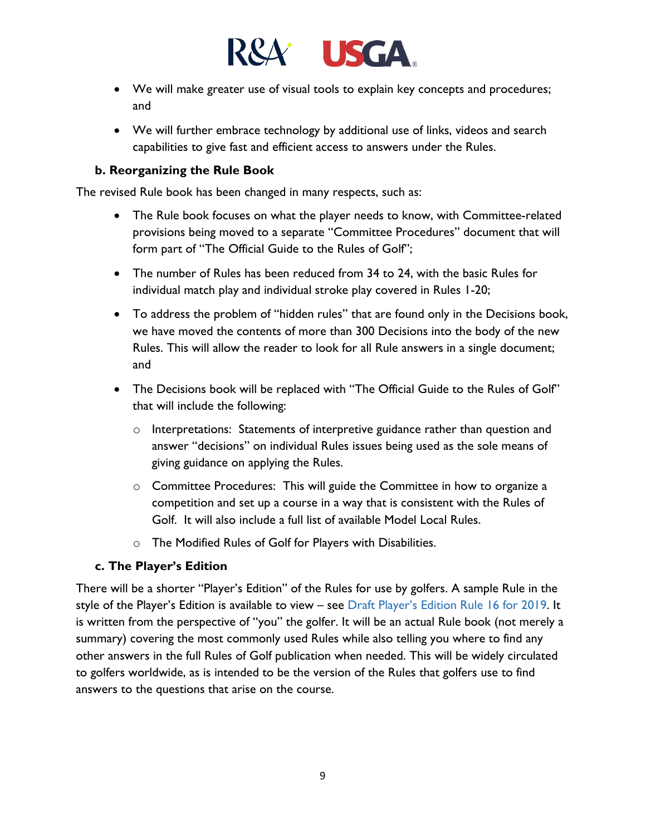

- We will make greater use of visual tools to explain key concepts and procedures; and
- We will further embrace technology by additional use of links, videos and search capabilities to give fast and efficient access to answers under the Rules.

#### **b. Reorganizing the Rule Book**

The revised Rule book has been changed in many respects, such as:

- The Rule book focuses on what the player needs to know, with Committee-related provisions being moved to a separate "Committee Procedures" document that will form part of "The Official Guide to the Rules of Golf";
- The number of Rules has been reduced from 34 to 24, with the basic Rules for individual match play and individual stroke play covered in Rules 1-20;
- To address the problem of "hidden rules" that are found only in the Decisions book, we have moved the contents of more than 300 Decisions into the body of the new Rules. This will allow the reader to look for all Rule answers in a single document; and
- The Decisions book will be replaced with "The Official Guide to the Rules of Golf" that will include the following:
	- o Interpretations: Statements of interpretive guidance rather than question and answer "decisions" on individual Rules issues being used as the sole means of giving guidance on applying the Rules.
	- o Committee Procedures: This will guide the Committee in how to organize a competition and set up a course in a way that is consistent with the Rules of Golf. It will also include a full list of available Model Local Rules.
	- o The Modified Rules of Golf for Players with Disabilities.

#### **c. The Player's Edition**

There will be a shorter "Player's Edition" of the Rules for use by golfers. A sample Rule in the style of the Player's Edition is available to view – see Draft Player's Edition Rule 16 for 2019. It is written from the perspective of "you" the golfer. It will be an actual Rule book (not merely a summary) covering the most commonly used Rules while also telling you where to find any other answers in the full Rules of Golf publication when needed. This will be widely circulated to golfers worldwide, as is intended to be the version of the Rules that golfers use to find answers to the questions that arise on the course.